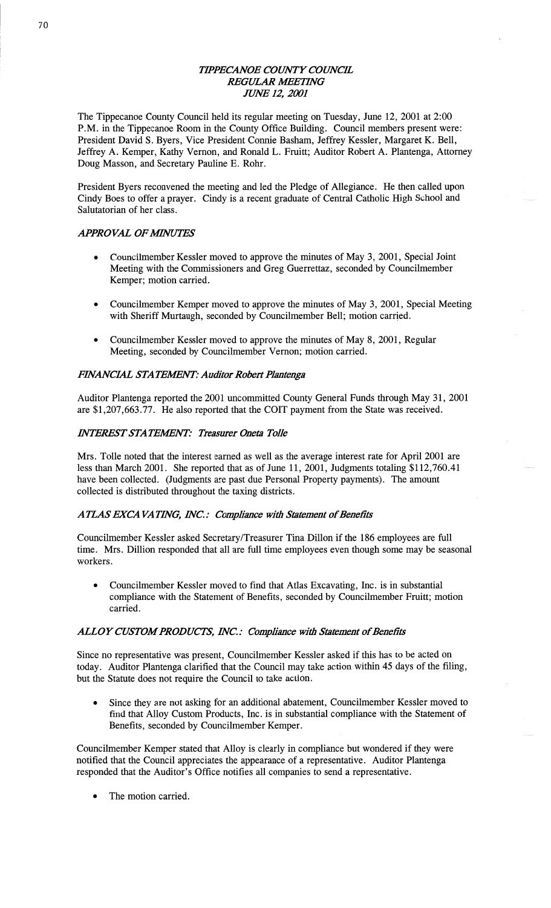## *TIPPECANOE COWT Y COWCIL*  **REGULAR MEETING JUNE 12, 2001**

The Tippecanoe County Council held its regular meeting on Tuesday, June 12, 2001 at 2:00 **P.M.** in the Tippecanoe Room in the County Office Building. Council members present were: President David S. Byers, **Vice** President Connie Basham, Jeffrey Kessler, Margaret K. Bell, Jeffrey A. Kemper, Kathy Vernon, and Ronald L. Fruitt; Auditor Robert A. Plantenga, Attorney Doug Masson, and Secretary Pauline E. Rohr.

President Byers reconvened the meeting and led the Pledge of Allegiance. He then called upon Cindy Boes to offer a prayer. Cindy is **a** recent graduate of Central Catholic High School and Salutatorian of her **class.** 

## *APPROVAL OFMVUYFS*

- **0** Councilmember Kessler **moved** to approve the minutes of May 3, 2001, Special Joint Meeting with the Commissioners and Greg Guerrettaz, seconded by Councilmember Kemper; motion **carried.**
- **0** Councilmember Kemper moved to approve the minutes of May 3, 2001, Special Meeting with Sheriff Murtaugh, seconded by Councilmember Bell; motion carried.
- Councilmember Kessler moved to approve the minutes of May 8, 2001, Regular Meeting, seconded by Councilmember Vernon; motion carried.

## **FINANCIAL STATEMENT: Auditor Robert Plantenga**

**Auditor** Plantenga reported the **2001** uncommitted County General Funds through May 31, 2001 are \$1,207,663.77. He also **reported** that the COIT payment from the State was received.

## *INTEREST STATEMENT: Treasurer Oneta Tolle*

**Mrs.** Tollc noted **that** the interest earned as well as the average interest rate for April 2001 are less than March 2001. She reported **that** as of June 11, 2001, Judgments totaling \$112,760.41 have been collected. (Judgments are past due Personal Property payments). The amount collected is distributed throughout the **taxing** districts.

## **ATLAS EXCAVATING, INC.: Compliance with Statement of Benefits**

Councilmember Kessler asked Secretary/Treasurer Tina Dillon if the 186 employees are full time. Mrs. Dillion responded that all are full time employees even though **some** may be **seasonal**  workers.

**0** Councilmember Kessler moved to find that Atlas Excavating, Inc. is in substantial compliance with the Statement of Benefits, seconded by Councilmember Fruitt; motion carried.

## **ALLOY CUSTOM PRODUCTS, INC.: Compliance with Statement of Benefits**

Since no representative was present, Councilmember Kessler **asked** if this has to be acted on today. Auditor Plantenga clarified that the Council may take action **within** 45 days of the filing, but the Statute does not require the Council to take action.

Since they are not asking for an additional abatement, Councilmember Kessler moved to find that Alloy Custom Products, Inc. is in substantial compliance with the Statement of **Benefits,** seconded by Councilmember Kemper.

Councilmember Kemper stated that Alloy is clearly in compliance but wondered if they were notified that the Council appreciates the appearance of **a** representative. Auditor Plantenga **responded** that the **Auditor's** Office notifies all companies to send a representative.

The motion carried.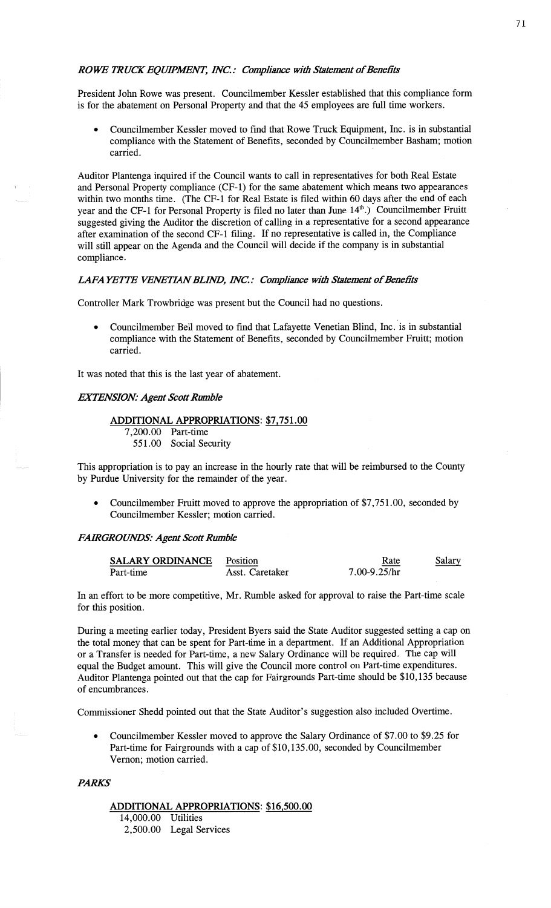### *ROWE TRUCK EOUIPMENT, INC.: Compliance with Statement of Benefits*

President John Rowe was present. Councilmember Kessler established **that** this compliance form is for the abatement on Personal Property and that the 45 employees are **full** time workers.

**0** Councilmember Kessler moved to find that Rowe Truck **Equipment,** Inc. is in substantial compliance with the Statement of Benefits, **seconded** by Councilmember Basham; motion carried.

**Auditor** Plantenga inquired if the Council wants to call in representatives for both Real Estate and Personal Property compliance (CF-1) for the same **abatement** which means two appearances within two months time. (The CF-1 for Real Estate is filed within 60 days after the end of each year and the CF-1 for Personal Property is filed no later than June 14<sup>th</sup>.) Councilmember Fruitt suggested giving the Auditor the discretion of calling in a representative for **a** second appearance after examination of the second CF-l filing. If no representative is called in, the Compliance will still appear on the Agenda and the Council will decide if the company is in substantial **compliance.** 

### **LAFA YETTE VENETIAN BLIND, INC.: Compliance with Statement of Benefits**

Controller Mark Trowbridge was present but the Council had no questions.

**0** Councilmember Bell moved to find that Lafayette Venetian Blind, Inc. 'is in substantial compliance with the Statement of Benefits, seconded by Councilmember Fruitt; motion carried.

It was noted **that** this is the last year of abatement.

### *EXTENSION: Agent Scott Rumble*

## **ADDITIONAL APPROPRIATIONS:** \$7,751.00

7,200.00 Part—time

551.00 Social Security

**This** appropriation is to pay an increase in the hourly **rate** that will be reimbursed to the County by Purdue University for the remainder of the year.

**<sup>0</sup>**Councilmember Fruitt moved to approve the appropriation of \$7,751.00, seconded by Councilmember Kessler; motion **carried.** *'* 

### *FARGROUNDS: Agent Scott Rumble*

| <b>SALARY ORDINANCE</b> | Position        | Rate             | Salary |
|-------------------------|-----------------|------------------|--------|
| Part-time               | Asst. Caretaker | $7.00 - 9.25/hr$ |        |

In an effort to be more competitive, Mr. Rumble asked for approval to raise the Part-time scale for this position.

During **a** meeting earlier **today,** President Byers said the State Auditor suggested setting **a** cap on the total money that can be spent for Part-time in **a** department. If an Additional Appropriation or a Transfer is needed for Part-time, a new Salary Ordinance will be required. The cap will equal the Budget amount. This will give the Council more control on Part-time expenditures. Auditor Plantenga pointed out that the cap for Fairgrounds Part-time should be \$10,135 because of **encumbrances.** 

Commissioner Shedd pointed out that the State Auditor's suggestion also included Overtime.

**-** Councilmember Kessler moved to approve the Salary Ordinance of \$7.00 to \$9.25 for Part-time for Fairgrounds with **<sup>a</sup>**cap of \$10,135.00, seconded by Councilmember Vernon; **motion carried.** 

### *PARKS"*

## **ADDITIONAL APPROPRIATIONS:** \$16,500.00

14,000.00 Utilities 2,500.00 Legal Services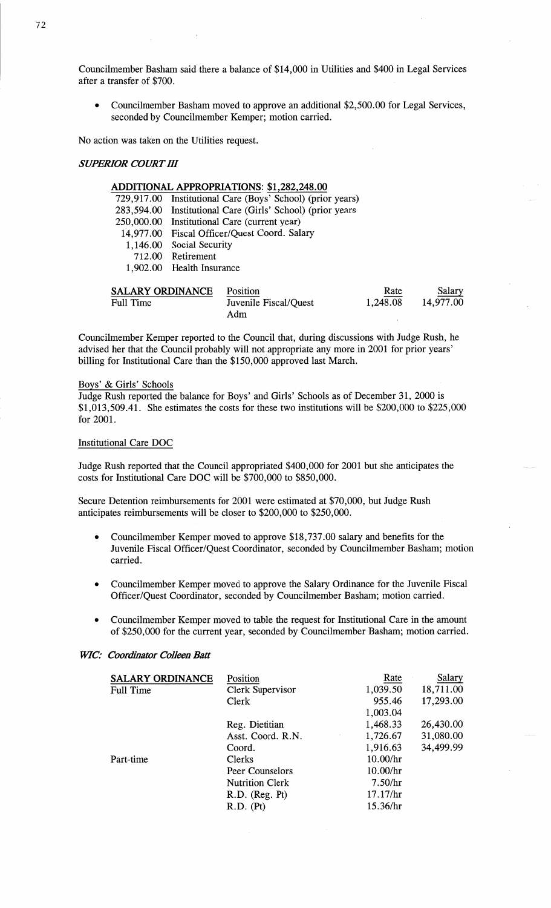Councilmember **Basham** said there a **balance** of \$14, 000 1n Utilities and \$400 1n Legal Services after a transfer of \$700.

• Councilmember Basham moved to approve an additional \$2,500.00 for Legal Services, seconded by Councilmember Kemper; motion carried.

No action was taken on the Utilities request.

### *SUPERIOR COURT* HI

## **ADDITIONAL APPROPRIATIONS: \$1,282,248.00**

|                 | 729,917.00 Institutional Care (Boys' School) (prior years) |
|-----------------|------------------------------------------------------------|
| 283,594.00      | Institutional Care (Girls' School) (prior years            |
| 250,000.00      | Institutional Care (current year)                          |
|                 | 14,977.00 Fiscal Officer/Quest Coord. Salary               |
|                 | 1,146.00 Social Security                                   |
|                 | 712.00 Retirement                                          |
|                 | 1,902.00 Health Insurance                                  |
|                 |                                                            |
| ALARY ORDINANCE | Position                                                   |

| <b>SALARY ORDINANCE</b> | Position              | Rate     | Salary    |
|-------------------------|-----------------------|----------|-----------|
| Full Time               | Juvenile Fiscal/Quest | 1,248.08 | 14,977.00 |
|                         | Adm                   |          |           |

Councilmember Kemper reported to the Council that, during discussions with Judge Rush, he **advised** her that the Council probably will not appropriate any more in 2001 for prior years' billing for Institutional Care **than** the \$150,000 approved last March.

### Boxs' & Girls' Schools

Judge **Rush** reported the balance for Boys' and Girls' Schools as of December 31, 2000 IS \$1,013, 509. 41. She **estimates** the costs for these two institutions will be \$200, 000 to \$225,000 for 2001.

## Institutional Care DOC

Judge Rush **reported** that the Council appropriated \$400,000 for 2001 but she anticipates the costs for Institutional Care DOC will be \$700,000 to \$850,000.

Secure Detention reimbursements for 2001 were estimated at \$70,000, but Judge Rush anticipates reimbursements will be closer to \$200,000 to \$250,000.

- **0** Councilmember Kemper moved to approve \$18,737.00 salary and benefits for the Juvenile Fiscal Officer/Quest Coordinator, seconded by Councilmember Basham; motion carried.
- **0** Councilmember Kemper **moved** to approve the Salary Ordinance for the Juvenile Fiscal Officer/Quest Coordinator, seconded by Councilmember Basham; **motion** carried.
- Councilmember Kemper moved to table the request for Institutional Care in the amount of \$250,000 for the current year, **seconded** by Councilmember Basham; motion carried.

#### *WIC': Coordinator Colleen Batt*

| <b>SALARY ORDINANCE</b> | Position               | Rate     | Salary    |
|-------------------------|------------------------|----------|-----------|
| Full Time               | Clerk Supervisor       | 1,039.50 | 18,711.00 |
|                         | Clerk                  | 955.46   | 17,293.00 |
|                         |                        | 1,003.04 |           |
|                         | Reg. Dietitian         | 1,468.33 | 26,430.00 |
|                         | Asst. Coord. R.N.      | 1,726.67 | 31,080.00 |
|                         | Coord.                 | 1,916.63 | 34,499.99 |
| Part-time               | Clerks                 | 10.00/hr |           |
|                         | Peer Counselors        | 10.00/hr |           |
|                         | <b>Nutrition Clerk</b> | 7.50/hr  |           |
|                         | R.D. (Reg. Pt)         | 17.17/hr |           |
|                         | R.D. (Pt)              | 15.36/hr |           |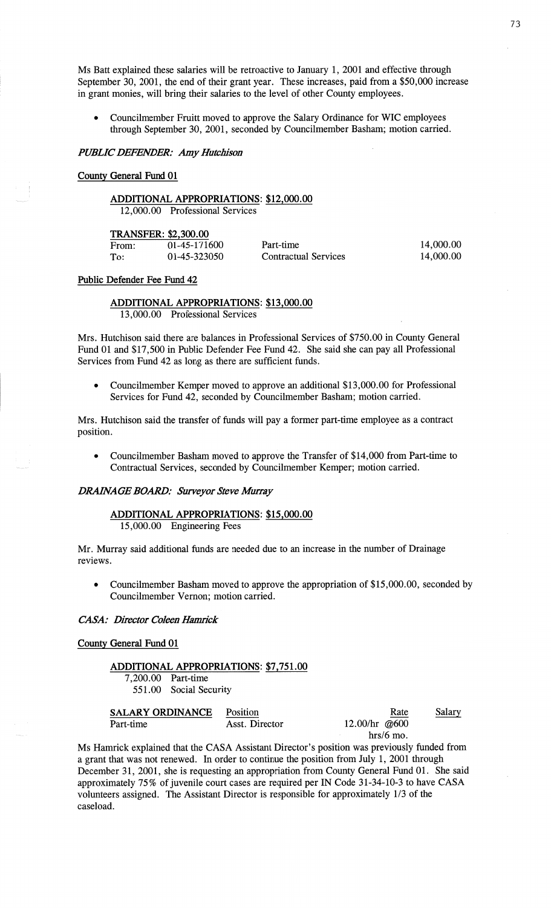Ms Batt **explained** these salaries will be retroactive to January 1, 2001 and effective through September 30, 2001, the end of their grant year. These increases, paid **from** a \$50,000 increase in grant **monies,** will bring their salaries to the level of other County employees.

**<sup>0</sup>**Councilmember Fruitt moved to approve the Salary Ordinance for WIC employees through September 30, 2001, seconded by Councilmember **Basham;** motion carried.

*PUBLIC DEFENDER:* Amy *Hutcbison* 

#### **Conny** General **Fund** 01

## **ADDITIONAL APPROPRIATIONS:** \$12,000.00

12,000.00 Professional Services

### **TRANSFER: \$2,300.00**

| From: | 01-45-171600 |
|-------|--------------|
| To:   | 01-45-323050 |

0 Part-time 14,000.00 0 Contractual Services 14,000.00

### **Public** Defender Fee **Fund** 42

**ADDITIONAL APPROPRIATIONS:** \$13,000.00 13,000.00 Professional **Services** 

Mrs. Hutchison said there are balances in **Professional** Services of \$750.00 in County General Fund 01 and \$17,500 in Public Defender Fee Fund 42. She said she can pay all **Professional**  Services from Fund 42 as long as there are sufficient **funds.** 

**<sup>0</sup>**Councilmember Kemper moved to approve an additional \$13,000.00 for **Professional**  Services for Fund 42, seconded by Councilmember Basham; motion carried.

Mrs. Hutchison said the transfer of funds will pay a former part-time employee as a contract position.

**<sup>0</sup>**Councilmember Basham moved to approve the Transfer of \$14,000 from Part-time to Contractual Services, seconded by Councilmember Kemper; **motion** carried.

### **DRAINAGE BOARD: Surveyor Steve Murray**

### **ADDITIONAL APPROPRIATIONS:** \$15,000.00 15,000.00 Engineering Fees

Mr. Murray **said** additional **funds** are needed due to an increase in the number of Drainage reviews.

**0** Councilmember Basham moved to approve the appropriation of \$15,000.00, seconded by Councilmember Vernon; motion carried.

 $CASA:$  *Director Coleen Hamrick* 

**Conny** General **Fund** 01

## **ADDITIONAL APPROPRIATIONS: \$7,751.00**

7,200.00 Part-time 551.00 Social Security

| <b>SALARY ORDINANCE</b> | Position       | Rate            | <u>Salary</u> |
|-------------------------|----------------|-----------------|---------------|
| Part-time               | Asst. Director | 12.00/hr $@600$ |               |
|                         |                | $hrs/6$ mo.     |               |

Ms **Hamrick** explained that the CASA **Assistant** Director's position was previously funded from **a** grant that was not renewed. In order to continue the position from July 1, 2001 through December 31, 2001, she is requesting an appropriation from County General Fund 01. She **said**  approximately 75% of juvenile court cases are required per IN Code 31-34-10-3 to have **CASA**  volunteers assigned. The **Assistant** Director is responsible for approximately 1/3 of the caseload.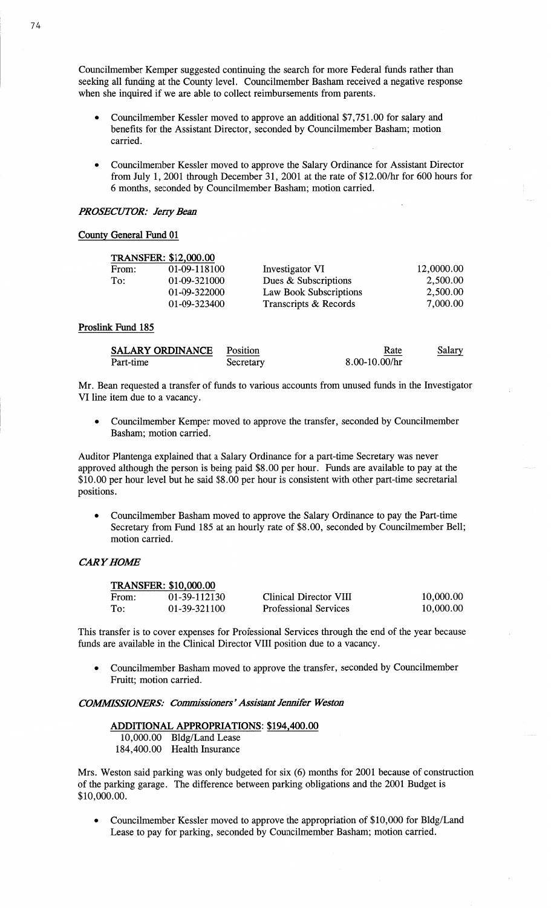Councilmember Kemper suggested continuing the search for more Federal **funds** rather **than**  seeking all funding at the County level. Councilmember **Basham** received a negative **response**  when she inquired if we are able to collect reimbursements from parents.

- **0** Councilmember Kessler moved to approve an additional \$7,751.00 for salary and benefits for the **Assistant** Director, seconded by Councilmember Basham; **motion carried.**
- *0* Councilmember Kessler moved to approve the Salary Ordinance for Assistant Director from July 1, 2001 through December 31, 2001 at the rate of **\$12.00/hr** for 600 hours for *6* **months,** seconded by Councilmember **Basham; motion** carried.

### *PROSECUTOR: Jerry Bean*

### **Conny** General **Fund** 01

|       | <b>TRANSFER: \$12,000.00</b> |                        |            |
|-------|------------------------------|------------------------|------------|
| From: | 01-09-118100                 | Investigator VI        | 12,0000.00 |
| To:   | 01-09-321000                 | Dues & Subscriptions   | 2,500.00   |
|       | 01-09-322000                 | Law Book Subscriptions | 2,500.00   |
|       | 01-09-323400                 | Transcripts & Records  | 7,000.00   |

### **Proslink Fund** 185

| <b>SALARY ORDINANCE</b> | Position  | Rate              | Salary |
|-------------------------|-----------|-------------------|--------|
| Part-time               | Secretary | $8.00 - 10.00/hr$ |        |

Mr. Bean requested a transfer of funds to various accounts from unused **funds** in the Investigator VI **line** item due to a vacancy.

**o** Councilmember Kemper moved to approve the transfer, seconded by Councilmember Basham; motion carried.

Auditor Plantenga explained that a Salary Ordinance for **a** part-time Secretary was never approved although the person is being **paid** \$8.00 per **hour.** Funds are available to pay at the \$10.00 per hour level but he **said** \$8.00 per hour is consistent with other part-time secretarial positions.

**0** Councilmember **Basham** moved to approve the Salary Ordinance to pay the **Part—time**  Secretary from Fund 185 at an hourly rate of \$8.00, seconded by Councilmember Bell; **motion** carried.

### **CARY HOME**

| <b>TRANSFER: \$10,000.00</b> |              |                              |           |
|------------------------------|--------------|------------------------------|-----------|
| From:                        | 01-39-112130 | Clinical Director VIII       | 10,000.00 |
| To:                          | 01-39-321100 | <b>Professional Services</b> | 10,000.00 |

This transfer is to cover **expenses** for Professional **Services** through the end of the year because **funds** are available in the Clinical Director VIII position due to **a** vacancy.

**o** Councilmember Basham moved to approve the transfer, seconded by Councilmember Pruitt; motion **carried.** 

## *COWSSIONERS: Commissionem'Assistant Jennifer WeSton*

# **ADDITIONAL APPROPRIATIONS: \$194,400.00**

 $10,000.00$  Bldg/Land Lease 184,400.00 **Health** Insurance

**Mrs.** Weston said parking was only budgeted for six (6) months for 2001 because of construction of the parking garage. The difference between parking obligations and the 2001 Budget is \$10,000.00.

**-** Councilmember Kessler **moved** to approve the appropriation of \$10,000 for Bldg/Land Lease to pay for parking, seconded by Councilmember Basham; motion carried.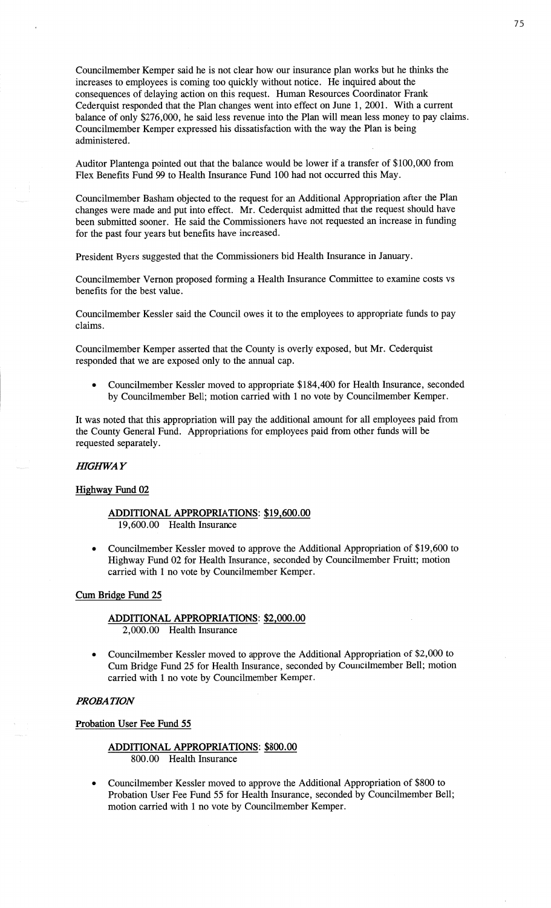Councilmember Kemper **said** he is not clear how our insurance plan works but he thinks the increases to employees is coming too quickly without notice. He inquired about the consequences of delaying action on this request. Human Resources Coordinator Frank Cederquist responded that the **Plan** changes went into effect on June 1, 2001. With a current balance of only \$276,000, he said less revenue into the Plan will mean less money to pay claims. Councilmember Kemper expressed his dissatisfaction with the way the Plan is being **administered.** 

Auditor Plantenga pointed out that the balance would be lower if a transfer of \$100,000 from **Flex** Benefits Fund 99 to Health Insurance Fund 100 had not occurred this May.

Councilmember Basham objected to the request for an Additional Appropriation after the **Plan**  changes were made and put into effect. Mr. Cederquist admitted that the request should have been submitted sooner. He **said** the **Commissioners** have not requested an increase in funding for the **past** four years but benefits have **increased.** 

President Byers suggested that the Commissioners bid Health Insurance in January.

Councilmember Vernon proposed forming a **Health** InSurance Committee to examine costs vs benefits for the best **value.** 

Councilmember Kessler said the Council owes it to the employees to appropriate funds to pay claims.

Councilmember Kemper asserted that the County is overly exposed, but Mr. Cederquist responded **that** we are exposed only to the annual cap.

**0** Councilmember Kessler moved to appropriate \$184,400 for Health Insurance, **seconded**  by Councilmember Bell; motion carried with **1** no vote by Councilmember Kemper.

It was noted that this appropriation will pay the additional amount for all employees paid from the County General Fund. Appropriations for employees paid from other funds will be requested separately.

### *HIGHWA Y*

#### **Highway Fund 02**

- **ADDITIONAL APPROPRIATIONS:** \$19,600.00 19,600.00 Health Insurance
- *<sup>0</sup>*Councilmember Kessler moved to approve the Additional Appropriation of \$19,600 to Highway Fund 02 for Health Insurance, seconded by Councilmember Fruitt; motion carried with **1** no vote by Councilmember Kemper.

### Cum **Bridge Fund** 25

**ADDITIONAL APPROPRIATIONS: \$2,000.00 2,000.00 Health** Insurance

**0** Councilmember Kessler moved to approve the Additional Appropriation of \$2,000 to Cum Bridge **Fund** 25 for Health Insurance, seconded by Councilmember Bell; **motion**  carried with **1** no vote by Councilmember Kemper.

### *PROBATION*

**Probation User** Fee **Fund** 55

**ADDITIONAL APPROPRIATIONS: \$800.00**  800.00 Health Insurance

**0** Councihnember Kessler moved to approve the Additional Appropriation of \$800 to Probation User Fee Fund 55 for Health Insurance, seconded by Councilmember Bell; motion carried with **1** no vote by Councilmember Kemper.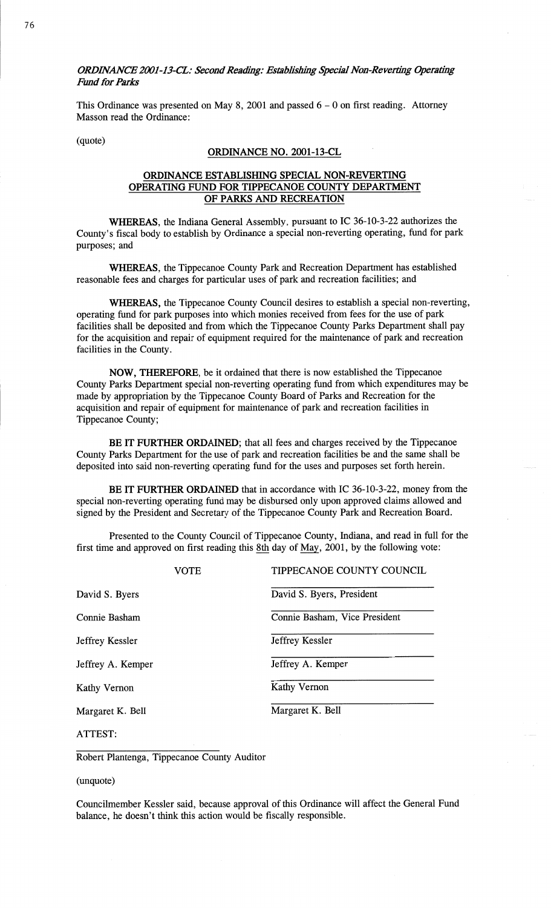*0RDHVANCE 2001-13—CL: Second* Reading: *Esmbfishlhg* special *Nan-Revcm'ng Operating Fund* for *Parks* 

This Ordinance was presented on May 8, 2001 and **passed** 6 **—** 0 on first **reading.** Attorney **Masson** read the Ordinance:

(quote)

### **ORDINANCE** NO. 2001-13-CL

## **ORDINANCE ESTABLISHING SPECIAL** NON-REVERTING **OPERATING** FUND FOR **TIPPECANOE COUNTY DEPARTMENT**  OF **PARKS** AND **RECREATION**

**WHEREAS,** the **Indiana** General Assembly, pursuant to IC 36—10-3-22 authorizes the County's fiscal body to establish by Ordinance a special non—reverting operating, **fund** for par<sup>k</sup> purposes; an<sup>d</sup>

**WHEREAS,** the Tippecanoe County Park and Recreation Department has established reasonable fees and charges for particular uses of park and recreation **facilities;** and

WHEREAS, the Tippecanoe County Council desires to establish **a** special **non—reverting,**  operating **fund** for park purposes into which **monies** received from fees for the use of par<sup>k</sup> facilities shall be **deposited** and from which the Tippecanoe County Parks Department shall pay for the acquisition and repair of equipment required for the maintenance of park and recreation facilities in the County.

**NOW, THEREFORE,** be it ordained that **there** is now established the Tippecanoe County Parks Department special non—reverting operating **fund** from which expenditures may be **made** by appropriation by the Tippecanoe County Board of Parks and Recreation for the acquisition and repair of equipment for maintenance of park and recreation facilities in Tippecanoe County;

BE IT **FURTHER ORDAINED;** that all fees and charges received by the Tippecanoe County Parks Department for the use of park and recreation facilities be and the same shall be deposited into said non-reverting operating fund for the uses and purposes set forth herein.

BE IT **FURTHER ORDAINED** that in accordance with IC 36-10-3-22, money from the special non—reverting operating **fund** may be disbursed only upon approved claims allowed and signed by the President and Secretary of the Tippecanoe County Park and **Recreation** Board.

Presented to the County Council of Tippecanoe County, Indiana, and read in full for the first time and approved on first reading this 8th day of May, 2001, by the following vote:

|                   | VOTE | TIPPECANOE COUNTY COUNCIL     |  |
|-------------------|------|-------------------------------|--|
| David S. Byers    |      | David S. Byers, President     |  |
| Connie Basham     |      | Connie Basham, Vice President |  |
| Jeffrey Kessler   |      | Jeffrey Kessler               |  |
| Jeffrey A. Kemper |      | Jeffrey A. Kemper             |  |
| Kathy Vernon      |      | Kathy Vernon                  |  |
| Margaret K. Bell  |      | Margaret K. Bell              |  |
| ATTEST:           |      |                               |  |

Robert Plantenga, Tippecanoe County Auditor

(unquote)

Councilmember Kessler said, because approval of this Ordinance will affect the General Fund **balance,** he **doesn't think** this action would be fiscally responsible.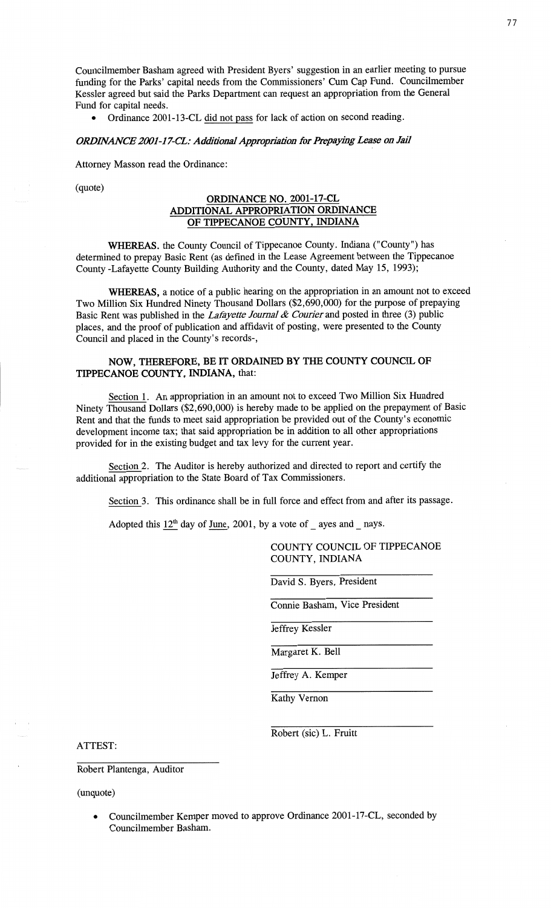Councilmember Basham agreed with President Byers' **suggestion** in an earlier **meeting** to pursue **funding** for the **Parks' capital** needs from the **Commissioners'** Cum Cap Fund. **Councilmember**  Kessler agreed but said the Parks Department can request an **appropriation** from the **General**  Fund for **capital needs.** 

**0** Ordinance 2001—13—CL did not pass for **lack** of **action** on second reading.

### *ORDINANCE 2001-17-CL: Additional Appropriation for Prepaying Lease on Jail*

Attorney **Masson** read the Ordinance:

(quote)

## **ORDINANCE** NO. 2001-17-CL **ADDITIONAL APPROPRIATION ORDINANCE**  OF **TIPPECANOE COUNTY, INDIANA**

**WHEREAS.** the County Council of Tippecanoe County. **Indiana** ("County") has determined to prepay Basic Rent (as defined in the **Lease** Agreement between the Tippecanoe County Lafayette County **Building** Authority and the County, dated May 15, 1993);

**WHEREAS, a** notice of **a** public hearing on the **appropriation** in an **amount** not to exceed Two **Million** Six Hundred Ninety **Thousand** Dollars (\$2,690,000) for the purpose of prepaying Basic Rent was published in the *Lafayette Journal & Courier* and posted in three (3) public places, and the proof of publication and affidavit of posting, were **presented** to the **County**  Council and placed in the County's records-,

## **NOW, THEREFORE,** BE IT **ORDAINED** BY THE **COUNTY COUNCIL** OF **TIPPECANOE COUNTY, INDIANA,** that:

Section 1. An appropriation in an amount not to **exceed** Two Million Six **Hundred**  Ninety Thousand Dollars (\$2,690,000) is hereby made to be **applied** on the **prepayment** of Basic Rent and that the funds to meet **said** appropriation be provided out of the **County's** economic development income **tax; that said** appropriation be in addition to all other appropriations provided for in the existing budget and tax levy for the current year.

Section 2. The Auditor is hereby authorized and directed to report and **certify** the **additional** appropriation to the State Board of Tax **Commissioners.** 

**Section** 3. This **ordinance** shall be in **full force** and **effect** from and after its **passage.** 

Adopted this  $12^{\text{th}}$  day of June, 2001, by a vote of *\_* ayes and *\_* nays.

**COUNTY COUNCIL OF TIPPECANOE COUNTY, INDIANA** 

David S. Byers, **President** 

Connie **Basham,** Vice **President** 

Jeffrey Kessler

Margaret K. Bell

Jeffrey A. Kemper

**Kathy** Vernon

Robert (sic) L. Eruitt

ATTEST:

Robert Plantenga, Auditor

 $(mquote)$ 

**o Councflmember Kemper moved** to approve **Ordinance** 2001-17—CL, seconded by Councilmember Basham.